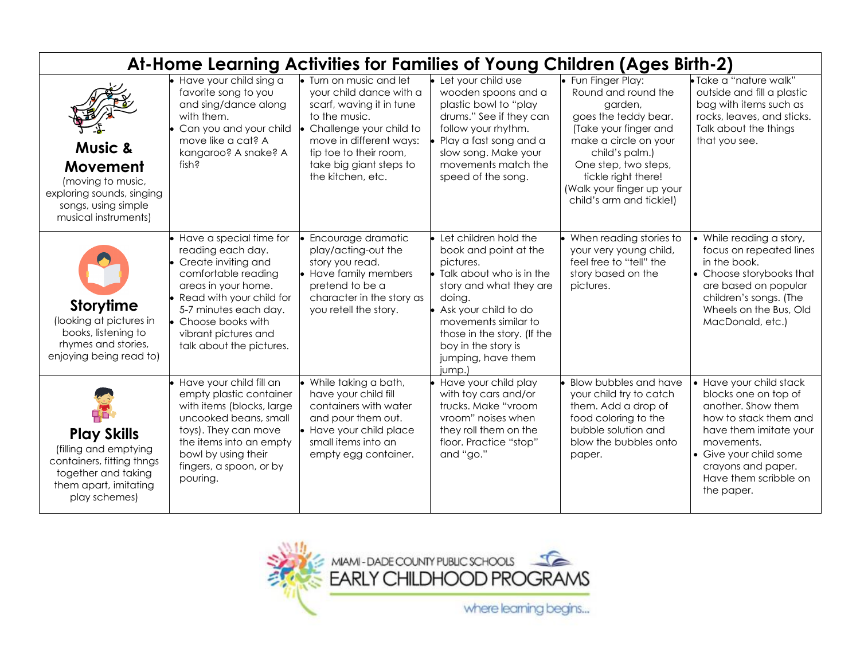| At-Home Learning Activities for Families of Young Children (Ages Birth-2)                                                                 |                                                                                                                                                                                                                                                       |                                                                                                                                                                                                                                 |                                                                                                                                                                                                                                                                                 |                                                                                                                                                                                                                                                          |                                                                                                                                                                                                                               |  |  |
|-------------------------------------------------------------------------------------------------------------------------------------------|-------------------------------------------------------------------------------------------------------------------------------------------------------------------------------------------------------------------------------------------------------|---------------------------------------------------------------------------------------------------------------------------------------------------------------------------------------------------------------------------------|---------------------------------------------------------------------------------------------------------------------------------------------------------------------------------------------------------------------------------------------------------------------------------|----------------------------------------------------------------------------------------------------------------------------------------------------------------------------------------------------------------------------------------------------------|-------------------------------------------------------------------------------------------------------------------------------------------------------------------------------------------------------------------------------|--|--|
| <b>Music &amp;</b><br>Movement<br>(moving to music,<br>exploring sounds, singing<br>songs, using simple<br>musical instruments)           | Have your child sing a<br>favorite song to you<br>and sing/dance along<br>with them.<br>Can you and your child<br>move like a cat? A<br>kangaroo? A snake? A<br>fish?                                                                                 | • Turn on music and let<br>your child dance with a<br>scarf, waving it in tune<br>to the music.<br>Challenge your child to<br>move in different ways:<br>tip toe to their room,<br>take big giant steps to<br>the kitchen, etc. | • Let your child use<br>wooden spoons and a<br>plastic bowl to "play<br>drums." See if they can<br>follow your rhythm.<br>Play a fast song and a<br>slow song. Make your<br>movements match the<br>speed of the song.                                                           | • Fun Finger Play:<br>Round and round the<br>garden,<br>goes the teddy bear.<br>(Take your finger and<br>make a circle on your<br>child's palm.)<br>One step, two steps,<br>tickle right there!<br>(Walk your finger up your<br>child's arm and tickle!) | · Take a "nature walk"<br>outside and fill a plastic<br>bag with items such as<br>rocks, leaves, and sticks.<br>Talk about the things<br>that you see.                                                                        |  |  |
| <b>Storytime</b><br>(looking at pictures in<br>books, listening to<br>rhymes and stories,<br>enjoying being read to)                      | • Have a special time for<br>reading each day.<br>• Create inviting and<br>comfortable reading<br>areas in your home.<br>Read with your child for<br>5-7 minutes each day.<br>• Choose books with<br>vibrant pictures and<br>talk about the pictures. | Encourage dramatic<br>play/acting-out the<br>story you read.<br>• Have family members<br>pretend to be a<br>character in the story as<br>you retell the story.                                                                  | $\bullet$ Let children hold the<br>book and point at the<br>pictures.<br>• Talk about who is in the<br>story and what they are<br>doing.<br>• Ask your child to do<br>movements similar to<br>those in the story. (If the<br>boy in the story is<br>jumping, have them<br>jump. | When reading stories to<br>your very young child,<br>feel free to "tell" the<br>story based on the<br>pictures.                                                                                                                                          | • While reading a story,<br>focus on repeated lines<br>in the book.<br>• Choose storybooks that<br>are based on popular<br>children's songs. (The<br>Wheels on the Bus, Old<br>MacDonald, etc.)                               |  |  |
| <b>Play Skills</b><br>(filling and emptying<br>containers, fitting thngs<br>together and taking<br>them apart, imitating<br>play schemes) | • Have your child fill an<br>empty plastic container<br>with items (blocks, large<br>uncooked beans, small<br>toys). They can move<br>the items into an empty<br>bowl by using their<br>fingers, a spoon, or by<br>pouring.                           | While taking a bath,<br>have your child fill<br>containers with water<br>and pour them out.<br>• Have your child place<br>small items into an<br>empty egg container.                                                           | • Have your child play<br>with toy cars and/or<br>trucks. Make "vroom<br>vroom" noises when<br>they roll them on the<br>floor. Practice "stop"<br>and "go."                                                                                                                     | Blow bubbles and have<br>your child try to catch<br>them. Add a drop of<br>food coloring to the<br>bubble solution and<br>blow the bubbles onto<br>paper.                                                                                                | • Have your child stack<br>blocks one on top of<br>another. Show them<br>how to stack them and<br>have them imitate your<br>movements.<br>• Give your child some<br>crayons and paper.<br>Have them scribble on<br>the paper. |  |  |